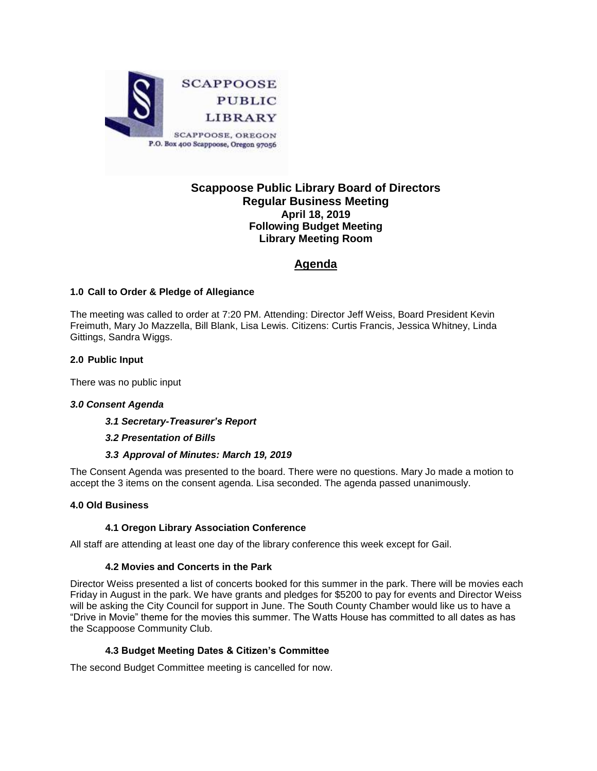

## **Scappoose Public Library Board of Directors Regular Business Meeting April 18, 2019 Following Budget Meeting Library Meeting Room**

## **Agenda**

## **1.0 Call to Order & Pledge of Allegiance**

The meeting was called to order at 7:20 PM. Attending: Director Jeff Weiss, Board President Kevin Freimuth, Mary Jo Mazzella, Bill Blank, Lisa Lewis. Citizens: Curtis Francis, Jessica Whitney, Linda Gittings, Sandra Wiggs.

## **2.0 Public Input**

There was no public input

## *3.0 Consent Agenda*

*3.1 Secretary-Treasurer's Report*

#### *3.2 Presentation of Bills*

#### *3.3 Approval of Minutes: March 19, 2019*

The Consent Agenda was presented to the board. There were no questions. Mary Jo made a motion to accept the 3 items on the consent agenda. Lisa seconded. The agenda passed unanimously.

#### **4.0 Old Business**

#### **4.1 Oregon Library Association Conference**

All staff are attending at least one day of the library conference this week except for Gail.

## **4.2 Movies and Concerts in the Park**

Director Weiss presented a list of concerts booked for this summer in the park. There will be movies each Friday in August in the park. We have grants and pledges for \$5200 to pay for events and Director Weiss will be asking the City Council for support in June. The South County Chamber would like us to have a "Drive in Movie" theme for the movies this summer. The Watts House has committed to all dates as has the Scappoose Community Club.

## **4.3 Budget Meeting Dates & Citizen's Committee**

The second Budget Committee meeting is cancelled for now.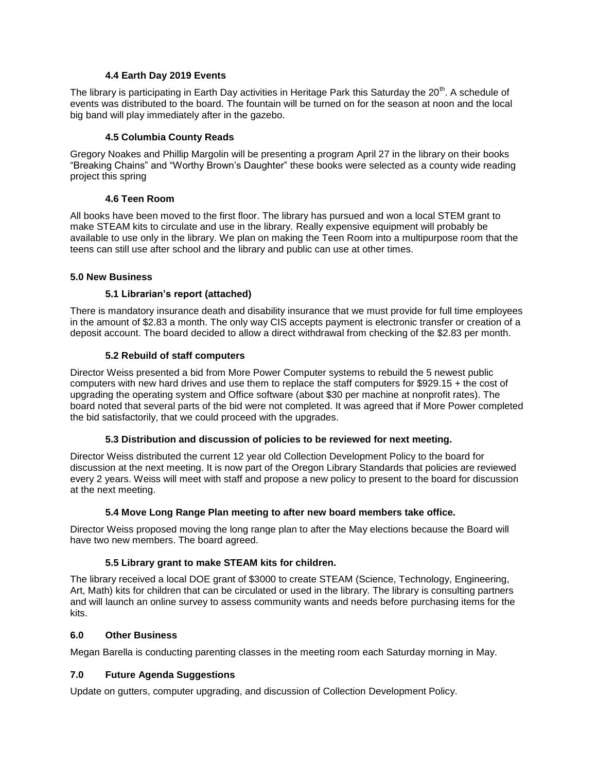### **4.4 Earth Day 2019 Events**

The library is participating in Earth Day activities in Heritage Park this Saturday the  $20<sup>th</sup>$ . A schedule of events was distributed to the board. The fountain will be turned on for the season at noon and the local big band will play immediately after in the gazebo.

### **4.5 Columbia County Reads**

Gregory Noakes and Phillip Margolin will be presenting a program April 27 in the library on their books "Breaking Chains" and "Worthy Brown's Daughter" these books were selected as a county wide reading project this spring

#### **4.6 Teen Room**

All books have been moved to the first floor. The library has pursued and won a local STEM grant to make STEAM kits to circulate and use in the library. Really expensive equipment will probably be available to use only in the library. We plan on making the Teen Room into a multipurpose room that the teens can still use after school and the library and public can use at other times.

#### **5.0 New Business**

## **5.1 Librarian's report (attached)**

There is mandatory insurance death and disability insurance that we must provide for full time employees in the amount of \$2.83 a month. The only way CIS accepts payment is electronic transfer or creation of a deposit account. The board decided to allow a direct withdrawal from checking of the \$2.83 per month.

## **5.2 Rebuild of staff computers**

Director Weiss presented a bid from More Power Computer systems to rebuild the 5 newest public computers with new hard drives and use them to replace the staff computers for \$929.15 + the cost of upgrading the operating system and Office software (about \$30 per machine at nonprofit rates). The board noted that several parts of the bid were not completed. It was agreed that if More Power completed the bid satisfactorily, that we could proceed with the upgrades.

## **5.3 Distribution and discussion of policies to be reviewed for next meeting.**

Director Weiss distributed the current 12 year old Collection Development Policy to the board for discussion at the next meeting. It is now part of the Oregon Library Standards that policies are reviewed every 2 years. Weiss will meet with staff and propose a new policy to present to the board for discussion at the next meeting.

## **5.4 Move Long Range Plan meeting to after new board members take office.**

Director Weiss proposed moving the long range plan to after the May elections because the Board will have two new members. The board agreed.

## **5.5 Library grant to make STEAM kits for children.**

The library received a local DOE grant of \$3000 to create STEAM (Science, Technology, Engineering, Art, Math) kits for children that can be circulated or used in the library. The library is consulting partners and will launch an online survey to assess community wants and needs before purchasing items for the kits.

#### **6.0 Other Business**

Megan Barella is conducting parenting classes in the meeting room each Saturday morning in May.

## **7.0 Future Agenda Suggestions**

Update on gutters, computer upgrading, and discussion of Collection Development Policy.